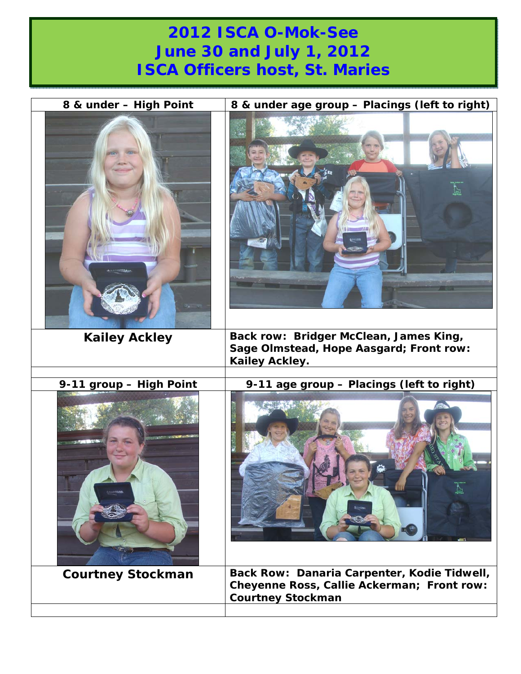## **2012 ISCA O-Mok-See June 30 and July 1, 2012 ISCA Officers host, St. Maries**

| 8 & under - High Point<br><b><i><u>RETAIN</u></i></b> | 8 & under age group - Placings (left to right)                                                                        |
|-------------------------------------------------------|-----------------------------------------------------------------------------------------------------------------------|
| <b>Kailey Ackley</b>                                  | Back row: Bridger McClean, James King,<br>Sage Olmstead, Hope Aasgard; Front row:<br>Kailey Ackley.                   |
| 9-11 group - High Point                               | 9-11 age group - Placings (left to right)                                                                             |
| <b>TANK</b>                                           |                                                                                                                       |
| <b>Courtney Stockman</b>                              | Back Row: Danaria Carpenter, Kodie Tidwell,<br>Cheyenne Ross, Callie Ackerman; Front row:<br><b>Courtney Stockman</b> |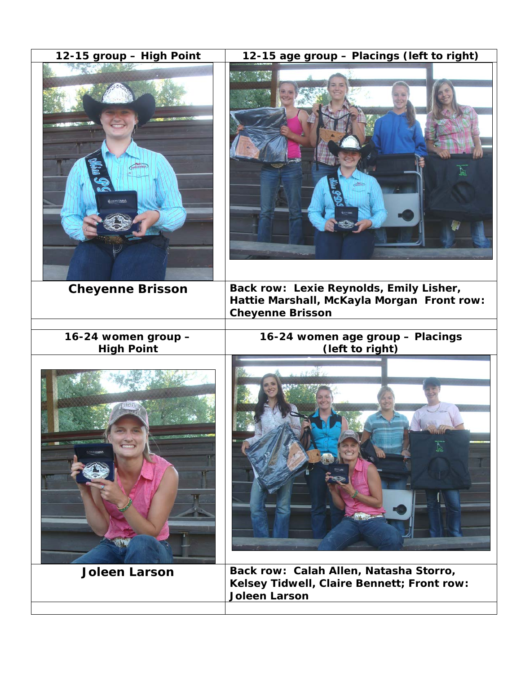| 12-15 group - High Point                 | 12-15 age group - Placings (left to right)                                                                       |
|------------------------------------------|------------------------------------------------------------------------------------------------------------------|
| CHITANO                                  |                                                                                                                  |
| <b>Cheyenne Brisson</b>                  | Back row: Lexie Reynolds, Emily Lisher,<br>Hattie Marshall, McKayla Morgan Front row:<br><b>Cheyenne Brisson</b> |
| 16-24 women group -<br><b>High Point</b> | 16-24 women age group - Placings<br>(left to right)                                                              |
|                                          |                                                                                                                  |
| <b>Joleen Larson</b>                     | Back row: Calah Allen, Natasha Storro,<br>Kelsey Tidwell, Claire Bennett; Front row:<br><b>Joleen Larson</b>     |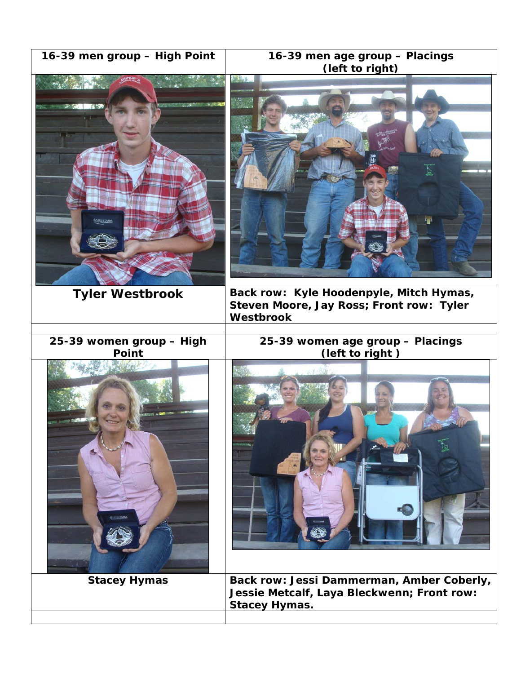|  |  |  | 16-39 men group - High Point |  |
|--|--|--|------------------------------|--|
|--|--|--|------------------------------|--|



**25-39 women group – High Point** 





**Tyler Westbrook Back row: Kyle Hoodenpyle, Mitch Hymas, Steven Moore, Jay Ross; Front row: Tyler Westbrook** 

> **25-39 women age group – Placings (left to right )**





Stacey Hymas | Back row: Jessi Dammerman, Amber Coberly, **Jessie Metcalf, Laya Bleckwenn; Front row: Stacey Hymas.**